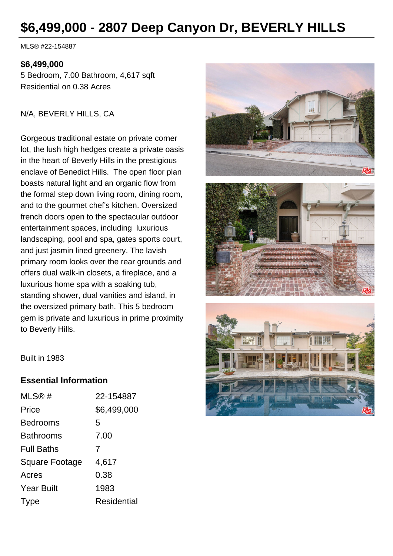# **\$6,499,000 - 2807 Deep Canyon Dr, BEVERLY HILLS**

MLS® #22-154887

#### **\$6,499,000**

5 Bedroom, 7.00 Bathroom, 4,617 sqft Residential on 0.38 Acres

N/A, BEVERLY HILLS, CA

Gorgeous traditional estate on private corner lot, the lush high hedges create a private oasis in the heart of Beverly Hills in the prestigious enclave of Benedict Hills. The open floor plan boasts natural light and an organic flow from the formal step down living room, dining room, and to the gourmet chef's kitchen. Oversized french doors open to the spectacular outdoor entertainment spaces, including luxurious landscaping, pool and spa, gates sports court, and just jasmin lined greenery. The lavish primary room looks over the rear grounds and offers dual walk-in closets, a fireplace, and a luxurious home spa with a soaking tub, standing shower, dual vanities and island, in the oversized primary bath. This 5 bedroom gem is private and luxurious in prime proximity to Beverly Hills.







Built in 1983

#### **Essential Information**

| MLS@#             | 22-154887          |
|-------------------|--------------------|
| Price             | \$6,499,000        |
| <b>Bedrooms</b>   | 5                  |
| <b>Bathrooms</b>  | 7.00               |
| <b>Full Baths</b> | 7                  |
| Square Footage    | 4,617              |
| Acres             | 0.38               |
| <b>Year Built</b> | 1983               |
| Type              | <b>Residential</b> |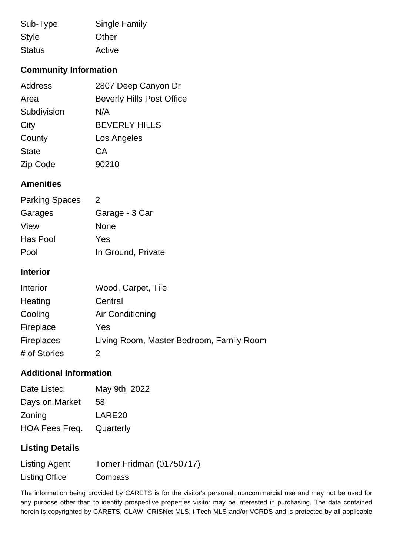| Sub-Type      | <b>Single Family</b> |  |
|---------------|----------------------|--|
| <b>Style</b>  | Other                |  |
| <b>Status</b> | Active               |  |

### **Community Information**

| Address         | 2807 Deep Canyon Dr              |
|-----------------|----------------------------------|
| Area            | <b>Beverly Hills Post Office</b> |
| Subdivision     | N/A                              |
| City            | <b>BEVERLY HILLS</b>             |
| County          | Los Angeles                      |
| <b>State</b>    | СA                               |
| <b>Zip Code</b> | 90210                            |

### **Amenities**

| <b>Parking Spaces</b> | 2                  |
|-----------------------|--------------------|
| Garages               | Garage - 3 Car     |
| View                  | None               |
| Has Pool              | Yes                |
| Pool                  | In Ground, Private |

#### **Interior**

| Interior          | Wood, Carpet, Tile                       |
|-------------------|------------------------------------------|
| Heating           | Central                                  |
| Cooling           | Air Conditioning                         |
| Fireplace         | Yes                                      |
| <b>Fireplaces</b> | Living Room, Master Bedroom, Family Room |
| # of Stories      |                                          |

## **Additional Information**

| Date Listed    | May 9th, 2022 |
|----------------|---------------|
| Days on Market | 58            |
| Zoning         | LARE20        |
| HOA Fees Freq. | Quarterly     |

### **Listing Details**

| <b>Listing Agent</b>  | Tomer Fridman (01750717) |
|-----------------------|--------------------------|
| <b>Listing Office</b> | Compass                  |

The information being provided by CARETS is for the visitor's personal, noncommercial use and may not be used for any purpose other than to identify prospective properties visitor may be interested in purchasing. The data contained herein is copyrighted by CARETS, CLAW, CRISNet MLS, i-Tech MLS and/or VCRDS and is protected by all applicable